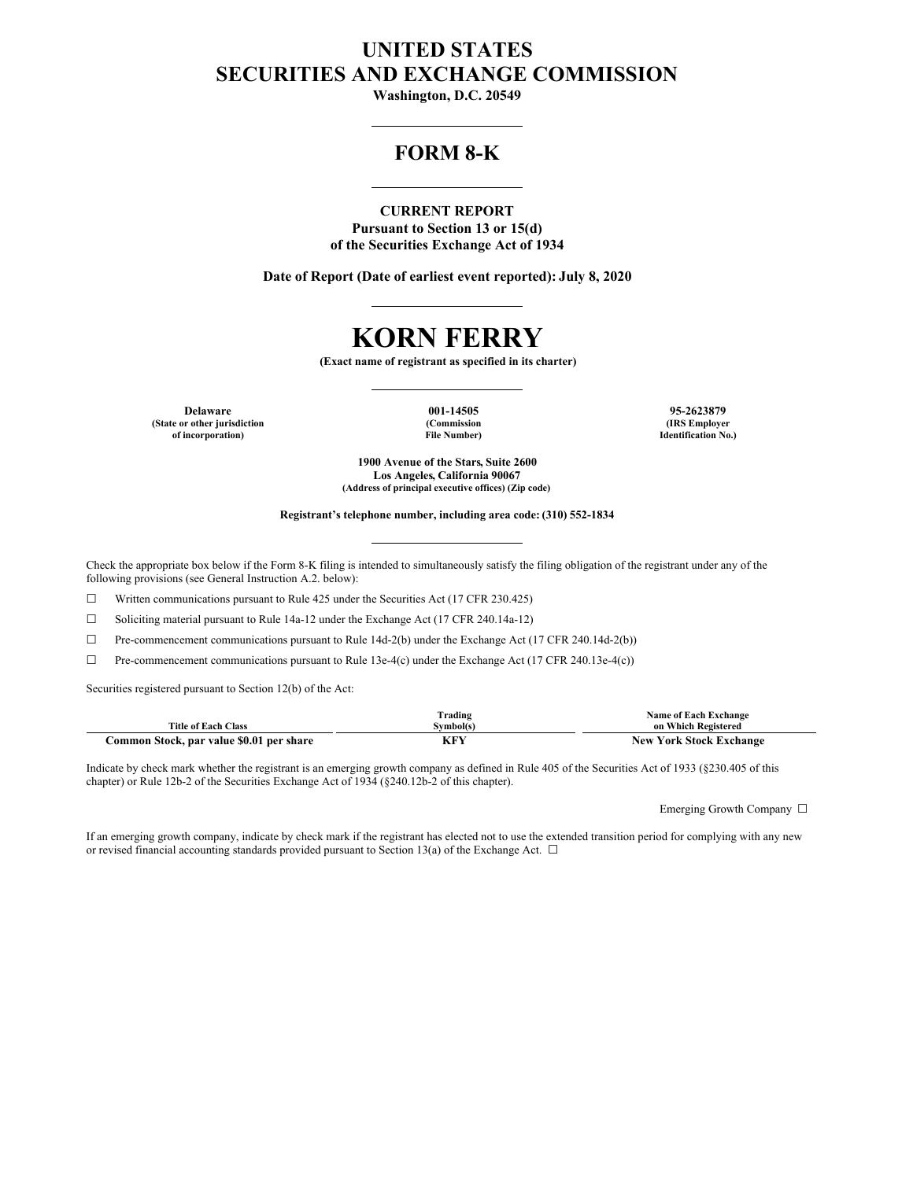## **UNITED STATES SECURITIES AND EXCHANGE COMMISSION**

**Washington, D.C. 20549**

### **FORM 8-K**

#### **CURRENT REPORT**

**Pursuant to Section 13 or 15(d) of the Securities Exchange Act of 1934**

**Date of Report (Date of earliest event reported): July 8, 2020**

# **KORN FERRY**

**(Exact name of registrant as specified in its charter)**

**Delaware 001-14505 95-2623879 (State or other jurisdiction of incorporation)**

**(Commission File Number)**

**(IRS Employer Identification No.)**

**1900 Avenue of the Stars, Suite 2600 Los Angeles, California 90067 (Address of principal executive offices) (Zip code)**

#### **Registrant's telephone number, including area code: (310) 552-1834**

Check the appropriate box below if the Form 8-K filing is intended to simultaneously satisfy the filing obligation of the registrant under any of the following provisions (see General Instruction A.2. below):

☐ Written communications pursuant to Rule 425 under the Securities Act (17 CFR 230.425)

☐ Soliciting material pursuant to Rule 14a-12 under the Exchange Act (17 CFR 240.14a-12)

 $\Box$  Pre-commencement communications pursuant to Rule 14d-2(b) under the Exchange Act (17 CFR 240.14d-2(b))

 $\Box$  Pre-commencement communications pursuant to Rule 13e-4(c) under the Exchange Act (17 CFR 240.13e-4(c))

Securities registered pursuant to Section 12(b) of the Act:

|                                          | Frading         | . Exchange<br>Name of Each        |
|------------------------------------------|-----------------|-----------------------------------|
| <b>Title of Each Class</b>               | Svmbol(s)       | on Which Registered               |
| Common Stock, par value \$0.01 per share | 7 F V<br>18 F F | York Stock Exchange<br><b>New</b> |

Indicate by check mark whether the registrant is an emerging growth company as defined in Rule 405 of the Securities Act of 1933 (§230.405 of this chapter) or Rule 12b-2 of the Securities Exchange Act of 1934 (§240.12b-2 of this chapter).

Emerging Growth Company ☐

If an emerging growth company, indicate by check mark if the registrant has elected not to use the extended transition period for complying with any new or revised financial accounting standards provided pursuant to Section 13(a) of the Exchange Act.  $\Box$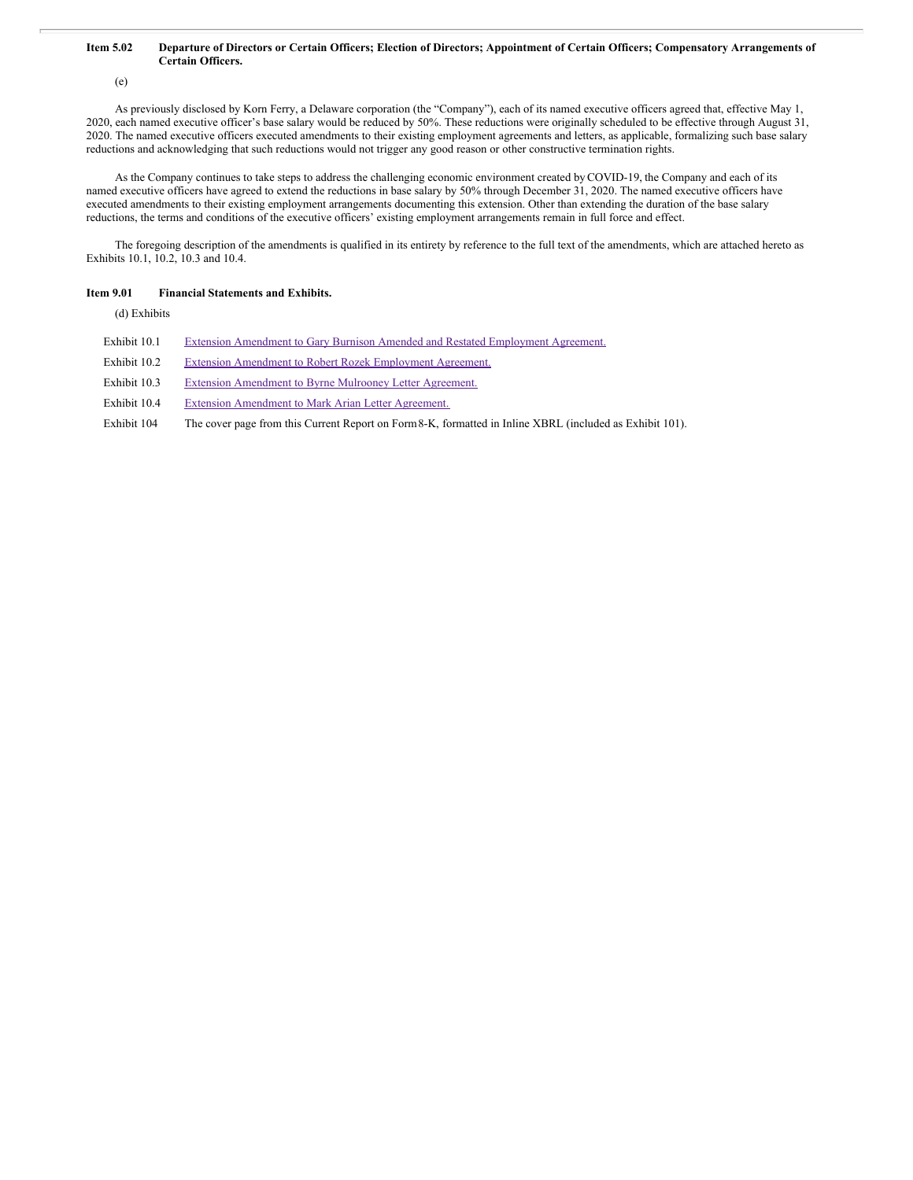#### Item 5.02 Departure of Directors or Certain Officers; Election of Directors; Appointment of Certain Officers; Compensatory Arrangements of **Certain Officers.**

(e)

As previously disclosed by Korn Ferry, a Delaware corporation (the "Company"), each of its named executive officers agreed that, effective May 1, 2020, each named executive officer's base salary would be reduced by 50%. These reductions were originally scheduled to be effective through August 31, 2020. The named executive officers executed amendments to their existing employment agreements and letters, as applicable, formalizing such base salary reductions and acknowledging that such reductions would not trigger any good reason or other constructive termination rights.

As the Company continues to take steps to address the challenging economic environment created by COVID-19, the Company and each of its named executive officers have agreed to extend the reductions in base salary by 50% through December 31, 2020. The named executive officers have executed amendments to their existing employment arrangements documenting this extension. Other than extending the duration of the base salary reductions, the terms and conditions of the executive officers' existing employment arrangements remain in full force and effect.

The foregoing description of the amendments is qualified in its entirety by reference to the full text of the amendments, which are attached hereto as Exhibits 10.1, 10.2, 10.3 and 10.4.

#### **Item 9.01 Financial Statements and Exhibits.**

(d) Exhibits

- Exhibit 10.1 Extension Amendment to Gary Burnison Amended and Restated [Employment](#page-3-0) Agreement.
- Exhibit 10.2 Extension Amendment to Robert Rozek [Employment](#page-4-0) Agreement.
- Exhibit 10.3 Extension [Amendment](#page-5-0) to Byrne Mulrooney Letter Agreement.
- Exhibit 10.4 Extension [Amendment](#page-6-0) to Mark Arian Letter Agreement.

Exhibit 104 The cover page from this Current Report on Form8-K, formatted in Inline XBRL (included as Exhibit 101).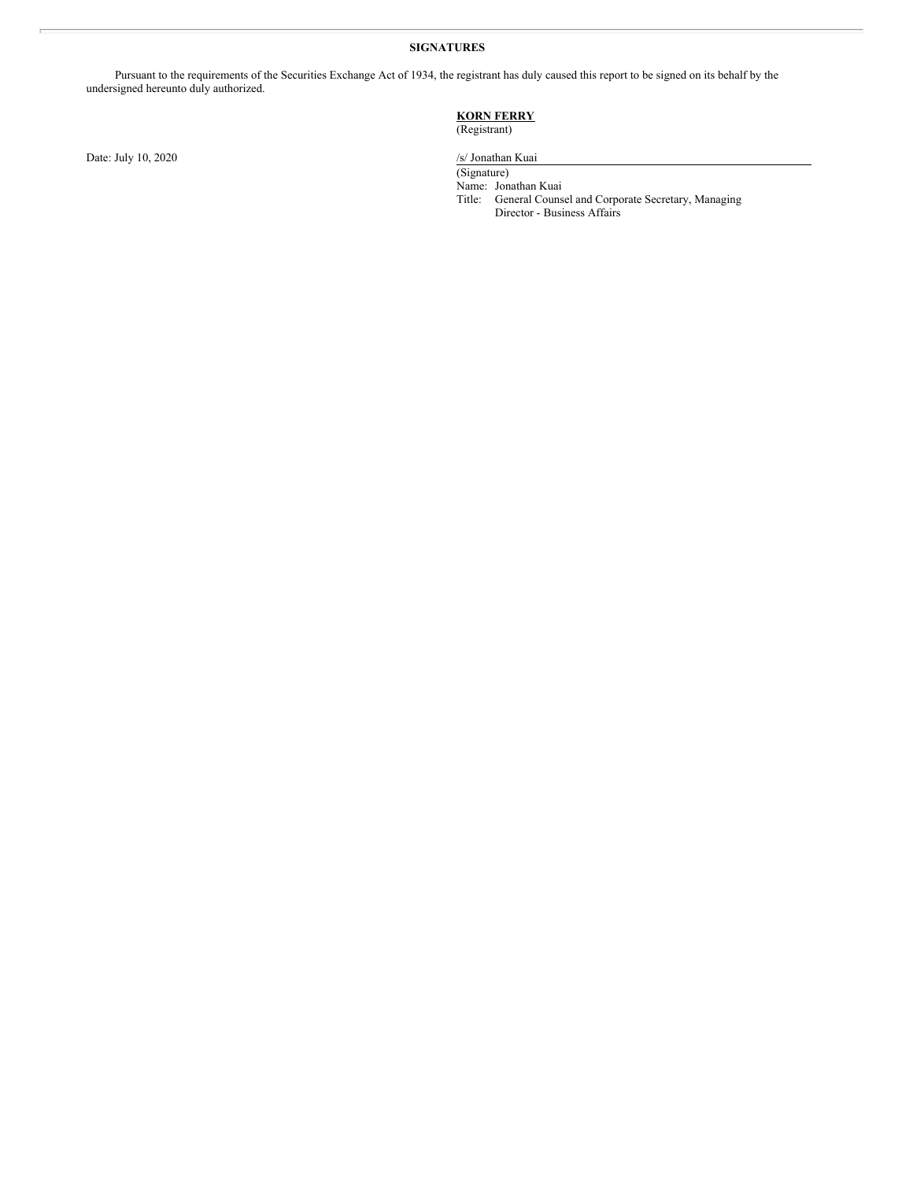#### **SIGNATURES**

Pursuant to the requirements of the Securities Exchange Act of 1934, the registrant has duly caused this report to be signed on its behalf by the undersigned hereunto duly authorized.

#### **KORN FERRY** (Registrant)

Date: July 10, 2020

/s/ Jonathan Kuai<br>(Signature)

Name: Jonathan Kuai Title: General Counsel and Corporate Secretary, Managing Director - Business Affairs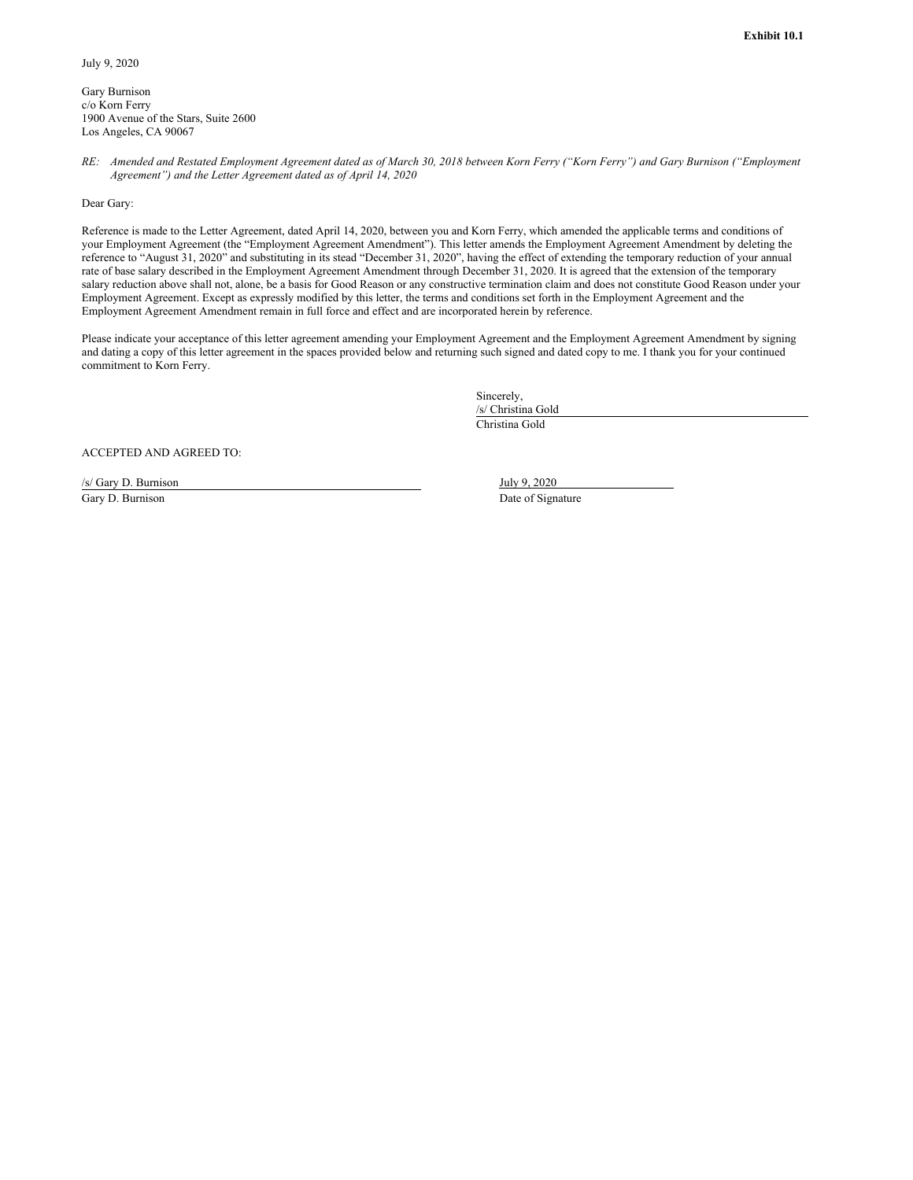<span id="page-3-0"></span>Gary Burnison c/o Korn Ferry 1900 Avenue of the Stars, Suite 2600 Los Angeles, CA 90067

RE: Amended and Restated Employment Agreement dated as of March 30, 2018 between Korn Ferry ("Korn Ferry") and Gary Burnison ("Employment *Agreement") and the Letter Agreement dated as of April 14, 2020*

Dear Gary:

Reference is made to the Letter Agreement, dated April 14, 2020, between you and Korn Ferry, which amended the applicable terms and conditions of your Employment Agreement (the "Employment Agreement Amendment"). This letter amends the Employment Agreement Amendment by deleting the reference to "August 31, 2020" and substituting in its stead "December 31, 2020", having the effect of extending the temporary reduction of your annual rate of base salary described in the Employment Agreement Amendment through December 31, 2020. It is agreed that the extension of the temporary salary reduction above shall not, alone, be a basis for Good Reason or any constructive termination claim and does not constitute Good Reason under your Employment Agreement. Except as expressly modified by this letter, the terms and conditions set forth in the Employment Agreement and the Employment Agreement Amendment remain in full force and effect and are incorporated herein by reference.

Please indicate your acceptance of this letter agreement amending your Employment Agreement and the Employment Agreement Amendment by signing and dating a copy of this letter agreement in the spaces provided below and returning such signed and dated copy to me. I thank you for your continued commitment to Korn Ferry.

> Sincerely, /s/ Christina Gold Christina Gold

ACCEPTED AND AGREED TO:

/s/ Gary D. Burnison July 9, 2020 Gary D. Burnison Date of Signature Date of Signature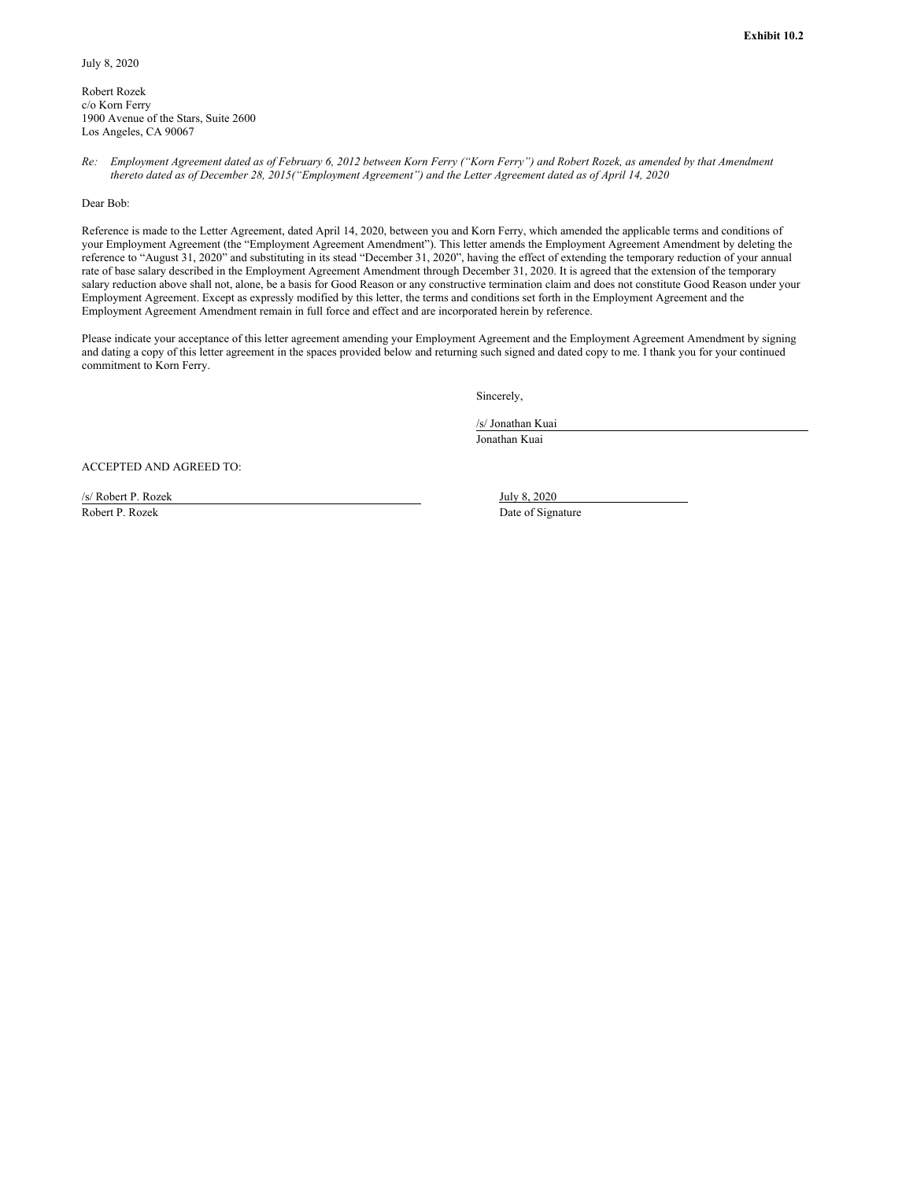<span id="page-4-0"></span>Robert Rozek c/o Korn Ferry 1900 Avenue of the Stars, Suite 2600 Los Angeles, CA 90067

Re: Employment Agreement dated as of February 6, 2012 between Korn Ferry ("Korn Ferry") and Robert Rozek, as amended by that Amendment thereto dated as of December 28, 2015("Employment Agreement") and the Letter Agreement dated as of April 14, 2020

Dear Bob:

Reference is made to the Letter Agreement, dated April 14, 2020, between you and Korn Ferry, which amended the applicable terms and conditions of your Employment Agreement (the "Employment Agreement Amendment"). This letter amends the Employment Agreement Amendment by deleting the reference to "August 31, 2020" and substituting in its stead "December 31, 2020", having the effect of extending the temporary reduction of your annual rate of base salary described in the Employment Agreement Amendment through December 31, 2020. It is agreed that the extension of the temporary salary reduction above shall not, alone, be a basis for Good Reason or any constructive termination claim and does not constitute Good Reason under your Employment Agreement. Except as expressly modified by this letter, the terms and conditions set forth in the Employment Agreement and the Employment Agreement Amendment remain in full force and effect and are incorporated herein by reference.

Please indicate your acceptance of this letter agreement amending your Employment Agreement and the Employment Agreement Amendment by signing and dating a copy of this letter agreement in the spaces provided below and returning such signed and dated copy to me. I thank you for your continued commitment to Korn Ferry.

Sincerely,

/s/ Jonathan Kuai Jonathan Kuai

ACCEPTED AND AGREED TO:

/s/ Robert P. Rozek July 8, 2020 Robert P. Rozek Date of Signature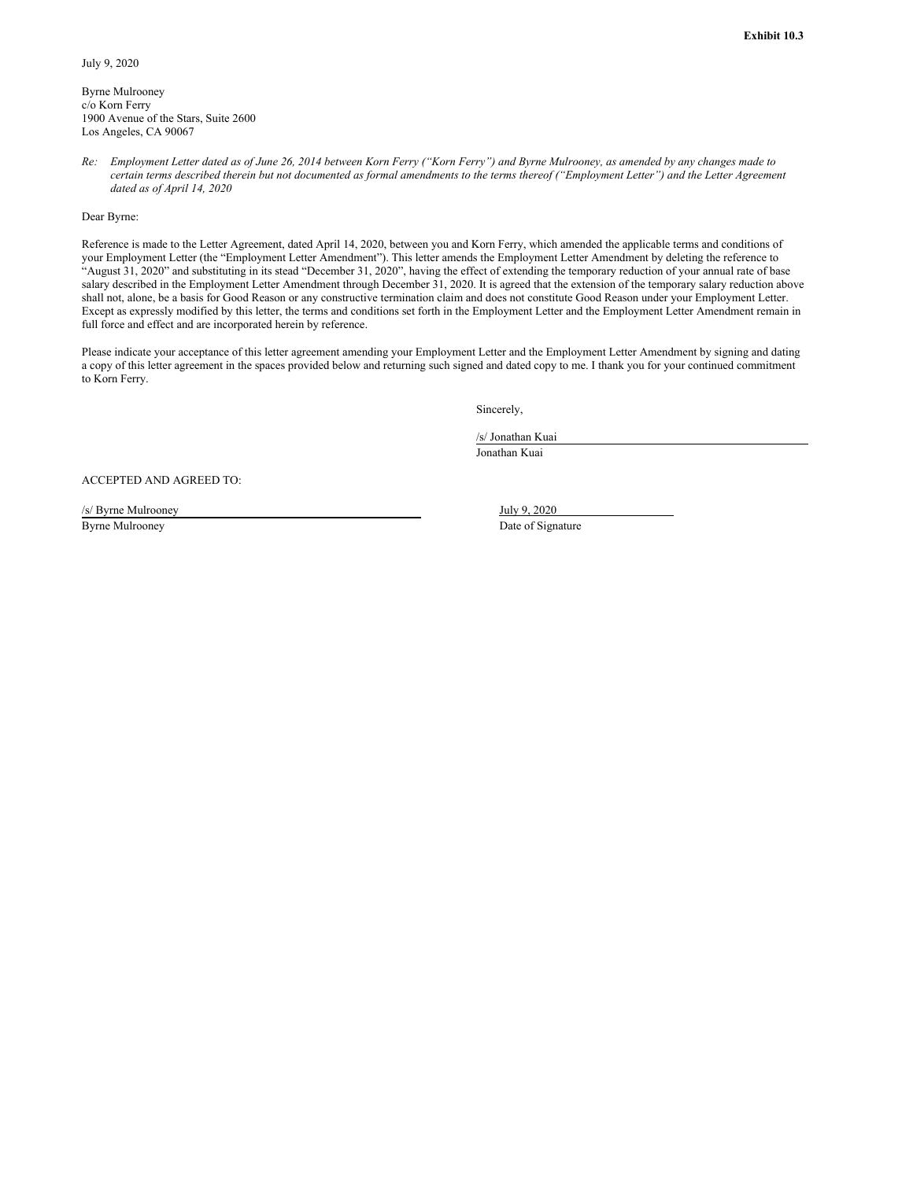<span id="page-5-0"></span>Byrne Mulrooney c/o Korn Ferry 1900 Avenue of the Stars, Suite 2600 Los Angeles, CA 90067

Re: Employment Letter dated as of June 26, 2014 between Korn Ferry ("Korn Ferry") and Byrne Mulrooney, as amended by any changes made to certain terms described therein but not documented as formal amendments to the terms thereof ("Employment Letter") and the Letter Agreement *dated as of April 14, 2020*

#### Dear Byrne:

Reference is made to the Letter Agreement, dated April 14, 2020, between you and Korn Ferry, which amended the applicable terms and conditions of your Employment Letter (the "Employment Letter Amendment"). This letter amends the Employment Letter Amendment by deleting the reference to "August 31, 2020" and substituting in its stead "December 31, 2020", having the effect of extending the temporary reduction of your annual rate of base salary described in the Employment Letter Amendment through December 31, 2020. It is agreed that the extension of the temporary salary reduction above shall not, alone, be a basis for Good Reason or any constructive termination claim and does not constitute Good Reason under your Employment Letter. Except as expressly modified by this letter, the terms and conditions set forth in the Employment Letter and the Employment Letter Amendment remain in full force and effect and are incorporated herein by reference.

Please indicate your acceptance of this letter agreement amending your Employment Letter and the Employment Letter Amendment by signing and dating a copy of this letter agreement in the spaces provided below and returning such signed and dated copy to me. I thank you for your continued commitment to Korn Ferry.

Sincerely,

/s/ Jonathan Kuai

Jonathan Kuai

ACCEPTED AND AGREED TO:

/s/ Byrne Mulrooney July 9, 2020 Byrne Mulrooney Date of Signature Date of Signature